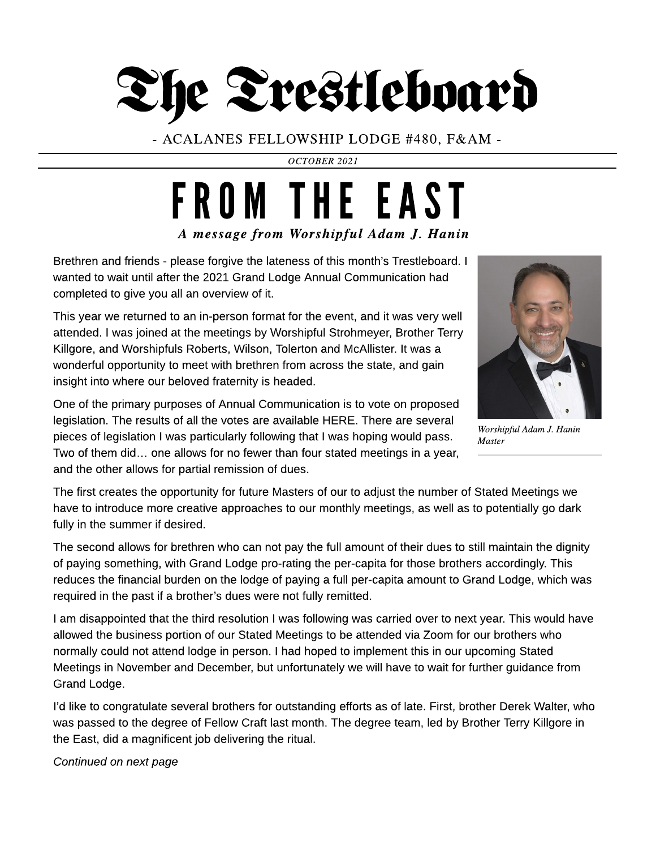

- ACALANES FELLOWSHIP LODGE #480, F& AM -

**OCTOBER 2021**

## **A message from Worshipful Adam J. Hanin** FROM THE EAST

Brethren and friends - please forgive the lateness of this month's Trestleboard. I wanted to wait until after the 2021 Grand Lodge Annual Communication had completed to give you all an overview of it.

This year we returned to an in-person format for the event, and it was very well attended. I was joined at the meetings by Worshipful Strohmeyer, Brother Terry Killgore, and Worshipfuls Roberts, Wilson, Tolerton and McAllister. It was a wonderful opportunity to meet with brethren from across the state, and gain insight into where our beloved fraternity is headed.



**Worshipful AdamJ. Hanin Master**

One of the primary purposes of Annual Communication is to vote on proposed legislation. The results of all the votes are available HERE. There are several pieces of legislation I was particularly following that I was hoping would pass. Two of them did... one allows for no fewer than four stated meetings in a year, and the other allows for partial remission of dues.

The first creates the opportunity for future Masters of our to adjust the number of Stated Meetings we have to introduce more creative approaches to our monthly meetings, as well as to potentially go dark fully in the summer if desired.

The second allows for brethren who can not pay the full amount of their dues to still maintain the dignity of paying something, with Grand Lodge pro-rating the per-capita for those brothers accordingly. This reduces the financial burden on the lodge of paying a full per-capita amount to Grand Lodge, which was required in the past if a brother?s dues were not fully remitted.

I am disappointed that the third resolution I was following was carried over to next year. This would have allowed the business portion of our Stated Meetings to be attended via Zoom for our brothers who normally could not attend lodge in person. I had hoped to implement this in our upcoming Stated Meetings in November and December, but unfortunately we will have to wait for further guidance from Grand Lodge.

I?d like to congratulate several brothers for outstanding efforts as of late. First, brother Derek Walter, who was passed to the degree of Fellow Craft last month. The degree team, led by Brother Terry Killgore in the East, did a magnificent job delivering the ritual.

**Continued on next page**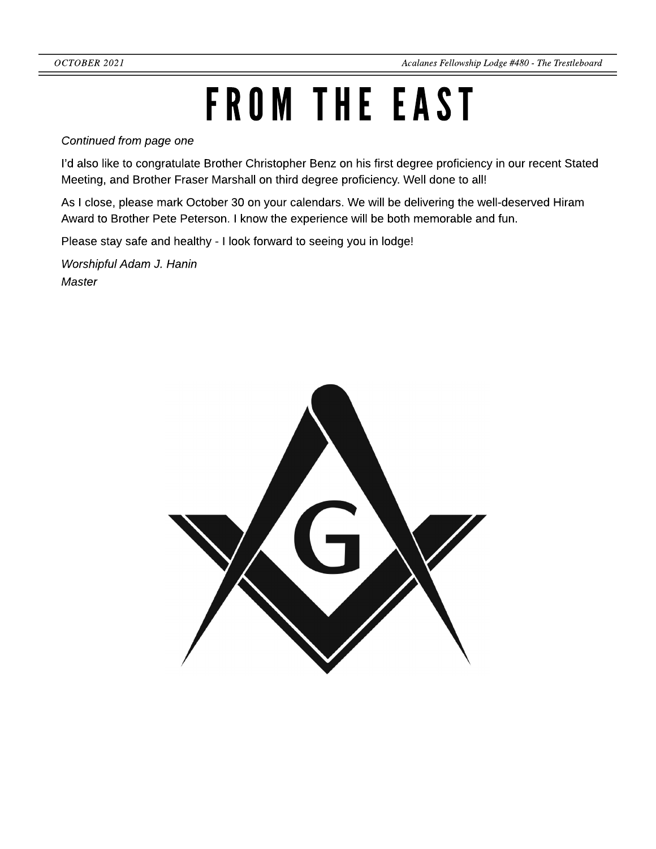## FROM THE EAST

**Continued from page one**

I?d also like to congratulate Brother Christopher Benz on his first degree proficiency in our recent Stated Meeting, and Brother Fraser Marshall on third degree proficiency. Well done to all!

As I close, please mark October 30 on your calendars. We will be delivering the well-deserved Hiram Award to Brother Pete Peterson. I know the experience will be both memorable and fun.

Please stay safe and healthy - I look forward to seeing you in lodge!

**Worshipful Adam J. Hanin Master**

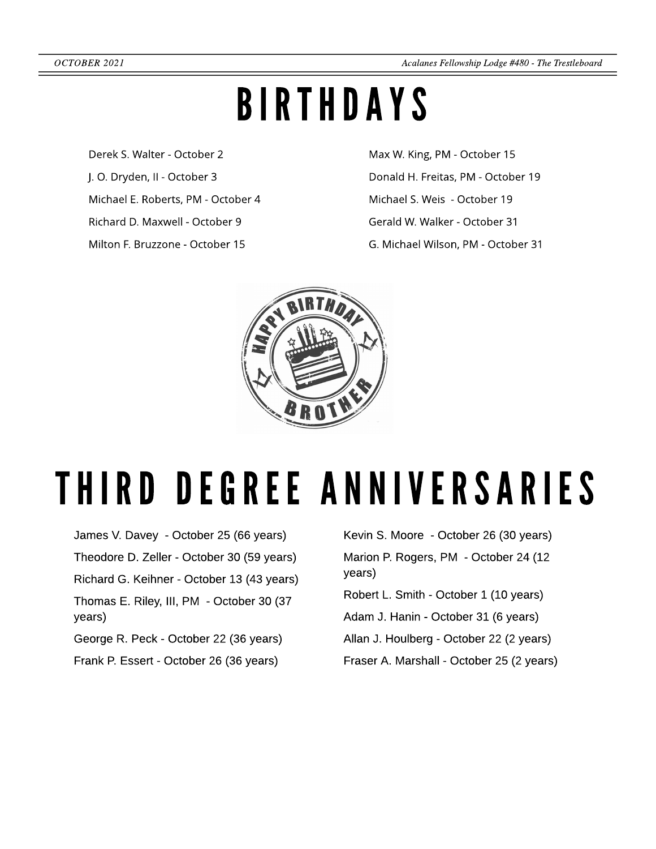## BIRTHDAYS

Derek S. Walter - October 2 J. O. Dryden, II - October 3 Michael E. Roberts, PM - October 4 Richard D. Maxwell - October 9 Milton F. Bruzzone - October 15

Max W. King, PM - October 15 Donald H. Freitas, PM - October 19 Michael S. Weis - October 19 Gerald W. Walker - October 31 G. Michael Wilson, PM - October 31



## THIRD DEGREE ANNIVERSARIES

- James V. Davey October 25 (66 years) Theodore D. Zeller - October 30 (59 years) Richard G. Keihner - October 13 (43 years) Thomas E. Riley, III, PM - October 30 (37 years)
- George R. Peck October 22 (36 years)
- Frank P. Essert October 26 (36 years)

Kevin S. Moore - October 26 (30 years) Marion P. Rogers, PM - October 24 (12 years) Robert L. Smith - October 1 (10 years)

- Adam J. Hanin October 31 (6 years)
- Allan J. Houlberg October 22 (2 years)
- Fraser A. Marshall October 25 (2 years)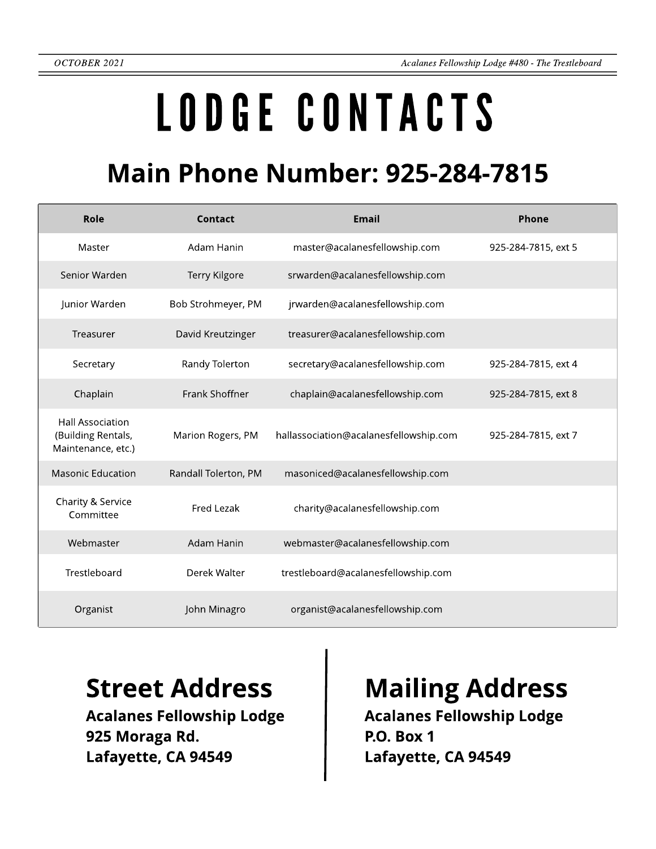# LODGECONTACTS

### **Main Phone Number: 925-284-7815**

| Role                                                                | Contact              | <b>Email</b>                           | Phone               |
|---------------------------------------------------------------------|----------------------|----------------------------------------|---------------------|
| Master                                                              | Adam Hanin           | master@acalanesfellowship.com          | 925-284-7815, ext 5 |
| Senior Warden                                                       | Terry Kilgore        | srwarden@acalanesfellowship.com        |                     |
| Junior Warden                                                       | Bob Strohmeyer, PM   | jrwarden@acalanesfellowship.com        |                     |
| Treasurer                                                           | David Kreutzinger    | treasurer@acalanesfellowship.com       |                     |
| Secretary                                                           | Randy Tolerton       | secretary@acalanesfellowship.com       | 925-284-7815, ext 4 |
| Chaplain                                                            | Frank Shoffner       | chaplain@acalanesfellowship.com        | 925-284-7815, ext 8 |
| <b>Hall Association</b><br>(Building Rentals,<br>Maintenance, etc.) | Marion Rogers, PM    | hallassociation@acalanesfellowship.com | 925-284-7815, ext 7 |
| <b>Masonic Education</b>                                            | Randall Tolerton, PM | masoniced@acalanesfellowship.com       |                     |
| Charity & Service<br>Committee                                      | Fred Lezak           | charity@acalanesfellowship.com         |                     |
| Webmaster                                                           | Adam Hanin           | webmaster@acalanesfellowship.com       |                     |
| Trestleboard                                                        | Derek Walter         | trestleboard@acalanesfellowship.com    |                     |
| Organist                                                            | John Minagro         | organist@acalanesfellowship.com        |                     |

Acalanes Fellowship Lodge 925 Moraga Rd. Lafayette, CA 94549

### Street Address | Mailing Address

Acalanes Fellowship Lodge P.O. Box 1 Lafayette, CA 94549